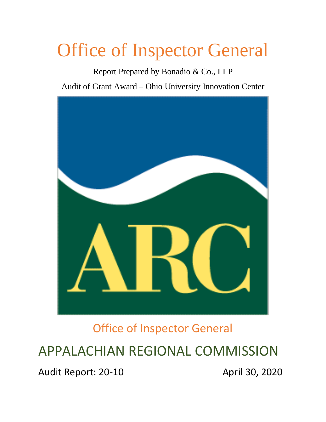# Office of Inspector General

Report Prepared by Bonadio & Co., LLP

Audit of Grant Award – Ohio University Innovation Center



Office of Inspector General

APPALACHIAN REGIONAL COMMISSION

Audit Report: 20-10 **Audit Report: 20-10** April 30, 2020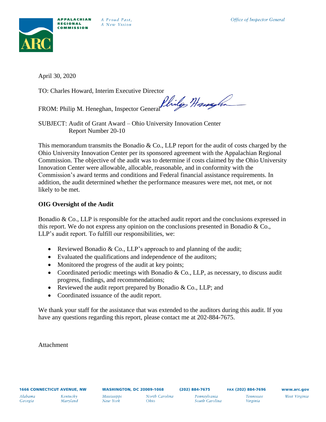

*A Proud Past,*  A *New Vision* 

April 30, 2020

TO: Charles Howard, Interim Executive Director

FROM: Philip M. Heneghan, Inspector General Philips Hang

SUBJECT: Audit of Grant Award – Ohio University Innovation Center Report Number 20-10

This memorandum transmits the Bonadio  $\&$  Co., LLP report for the audit of costs charged by the Ohio University Innovation Center per its sponsored agreement with the Appalachian Regional Commission. The objective of the audit was to determine if costs claimed by the Ohio University Innovation Center were allowable, allocable, reasonable, and in conformity with the Commission's award terms and conditions and Federal financial assistance requirements. In addition, the audit determined whether the performance measures were met, not met, or not likely to be met.

## **OIG Oversight of the Audit**

Bonadio  $\&$  Co., LLP is responsible for the attached audit report and the conclusions expressed in this report. We do not express any opinion on the conclusions presented in Bonadio & Co., LLP's audit report. To fulfill our responsibilities, we:

- Reviewed Bonadio  $& Co., LLP's$  approach to and planning of the audit;
- Evaluated the qualifications and independence of the auditors;
- Monitored the progress of the audit at key points;
- Coordinated periodic meetings with Bonadio & Co., LLP, as necessary, to discuss audit progress, findings, and recommendations;
- Reviewed the audit report prepared by Bonadio  $& Co., LLP$ ; and
- Coordinated issuance of the audit report.

We thank your staff for the assistance that was extended to the auditors during this audit. If you have any questions regarding this report, please contact me at 202-884-7675.

Attachment

*South Carolina* 

*Virginia*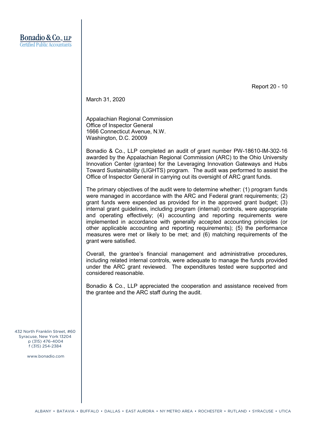Report 20 - 10

March 31, 2020

Appalachian Regional Commission Office of Inspector General 1666 Connecticut Avenue, N.W. Washington, D.C. 20009

Bonadio & Co., LLP completed an audit of grant number PW-18610-IM-302-16 awarded by the Appalachian Regional Commission (ARC) to the Ohio University Innovation Center (grantee) for the Leveraging Innovation Gateways and Hubs Toward Sustainability (LIGHTS) program. The audit was performed to assist the Office of Inspector General in carrying out its oversight of ARC grant funds.

The primary objectives of the audit were to determine whether: (1) program funds were managed in accordance with the ARC and Federal grant requirements; (2) grant funds were expended as provided for in the approved grant budget; (3) internal grant guidelines, including program (internal) controls, were appropriate and operating effectively; (4) accounting and reporting requirements were implemented in accordance with generally accepted accounting principles (or other applicable accounting and reporting requirements); (5) the performance measures were met or likely to be met; and (6) matching requirements of the grant were satisfied.

Overall, the grantee's financial management and administrative procedures, including related internal controls, were adequate to manage the funds provided under the ARC grant reviewed. The expenditures tested were supported and considered reasonable.

Bonadio & Co., LLP appreciated the cooperation and assistance received from the grantee and the ARC staff during the audit.

432 North Franklin Street, #60 Syracuse, New York 13204 p (315) 476-4004 f (315) 254-2384

www.bonadio.com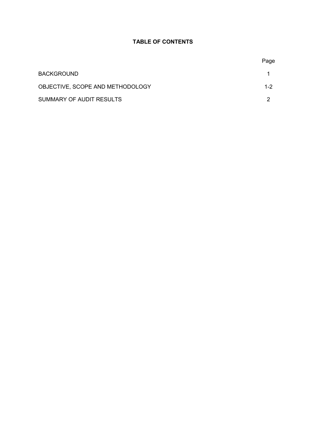## **TABLE OF CONTENTS**

|                                  | Page    |
|----------------------------------|---------|
| <b>BACKGROUND</b>                |         |
| OBJECTIVE, SCOPE AND METHODOLOGY | $1 - 2$ |
| SUMMARY OF AUDIT RESULTS         | ົ       |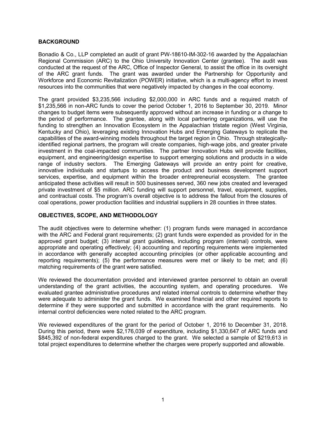#### **BACKGROUND**

Bonadio & Co., LLP completed an audit of grant PW-18610-IM-302-16 awarded by the Appalachian Regional Commission (ARC) to the Ohio University Innovation Center (grantee). The audit was conducted at the request of the ARC, Office of Inspector General, to assist the office in its oversight of the ARC grant funds. The grant was awarded under the Partnership for Opportunity and Workforce and Economic Revitalization (POWER) initiative, which is a multi-agency effort to invest resources into the communities that were negatively impacted by changes in the coal economy.

The grant provided \$3,235,566 including \$2,000,000 in ARC funds and a required match of \$1,235,566 in non-ARC funds to cover the period October 1, 2016 to September 30, 2019. Minor changes to budget items were subsequently approved without an increase in funding or a change to the period of performance. The grantee, along with local partnering organizations, will use the funding to strengthen an Innovation Ecosystem in the Appalachian tristate region (West Virginia, Kentucky and Ohio), leveraging existing Innovation Hubs and Emerging Gateways to replicate the capabilities of the award-winning models throughout the target region in Ohio. Through strategicallyidentified regional partners, the program will create companies, high-wage jobs, and greater private investment in the coal-impacted communities. The partner Innovation Hubs will provide facilities, equipment, and engineering/design expertise to support emerging solutions and products in a wide range of industry sectors. The Emerging Gateways will provide an entry point for creative, innovative individuals and startups to access the product and business development support services, expertise, and equipment within the broader entrepreneurial ecosystem. The grantee anticipated these activities will result in 500 businesses served, 360 new jobs created and leveraged private investment of \$5 million. ARC funding will support personnel, travel, equipment, supplies, and contractual costs. The program's overall objective is to address the fallout from the closures of coal operations, power production facilities and industrial suppliers in 28 counties in three states.

### **OBJECTIVES, SCOPE, AND METHODOLOGY**

The audit objectives were to determine whether: (1) program funds were managed in accordance with the ARC and Federal grant requirements; (2) grant funds were expended as provided for in the approved grant budget; (3) internal grant guidelines, including program (internal) controls, were appropriate and operating effectively; (4) accounting and reporting requirements were implemented in accordance with generally accepted accounting principles (or other applicable accounting and reporting requirements); (5) the performance measures were met or likely to be met; and (6) matching requirements of the grant were satisfied.

We reviewed the documentation provided and interviewed grantee personnel to obtain an overall understanding of the grant activities, the accounting system, and operating procedures. We evaluated grantee administrative procedures and related internal controls to determine whether they were adequate to administer the grant funds. We examined financial and other required reports to determine if they were supported and submitted in accordance with the grant requirements. No internal control deficiencies were noted related to the ARC program.

We reviewed expenditures of the grant for the period of October 1, 2016 to December 31, 2018. During this period, there were \$2,176,039 of expenditure, including \$1,330,647 of ARC funds and \$845,392 of non-federal expenditures charged to the grant. We selected a sample of \$219,613 in total project expenditures to determine whether the charges were properly supported and allowable.